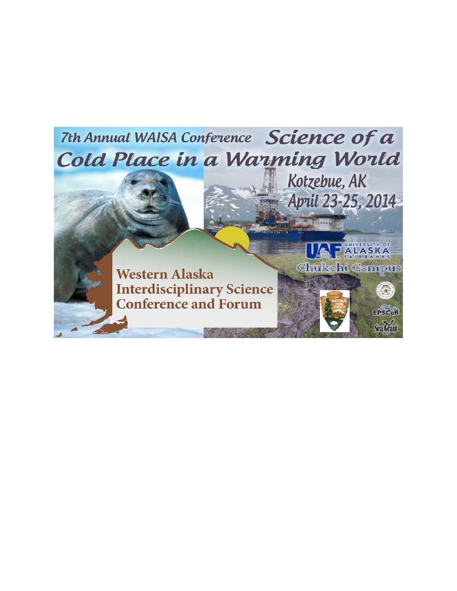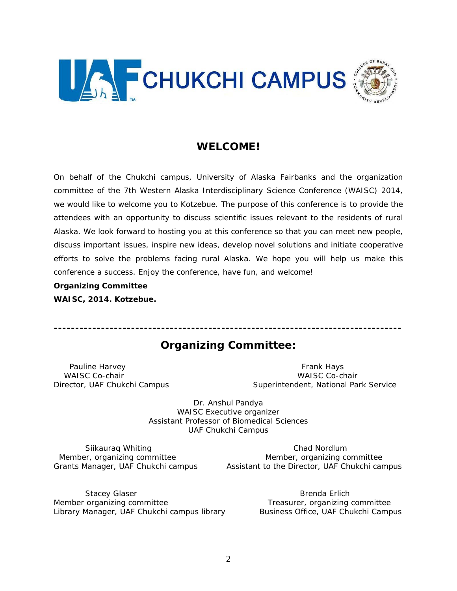

# **WELCOME!**

On behalf of the Chukchi campus, University of Alaska Fairbanks and the organization committee of the 7th Western Alaska Interdisciplinary Science Conference (WAISC) 2014, we would like to welcome you to Kotzebue. The purpose of this conference is to provide the attendees with an opportunity to discuss scientific issues relevant to the residents of rural Alaska. We look forward to hosting you at this conference so that you can meet new people, discuss important issues, inspire new ideas, develop novel solutions and initiate cooperative efforts to solve the problems facing rural Alaska. We hope you will help us make this conference a success. Enjoy the conference, have fun, and welcome!

#### **Organizing Committee**

**WAISC, 2014. Kotzebue.** 

# **Organizing Committee:**

Pauline Harvey **Frank Hays** Pauline Harvey *WAISC Co-chair WAISC Co-chair*

*Director, UAF Chukchi Campus Superintendent, National Park Service*

Dr. Anshul Pandya *WAISC Executive organizer Assistant Professor of Biomedical Sciences UAF Chukchi Campus* 

Siikauraq Whiting Chad Nordlum *Member, organizing committee* and *Member, organizing committee Grants Manager, UAF Chukchi campus Assistant to the Director, UAF Chukchi campus* 

Stacey Glaser **Brenda Erlich** *Member organizing committee Treasurer, organizing committee Library Manager, UAF Chukchi campus library Business Office, UAF Chukchi Campus*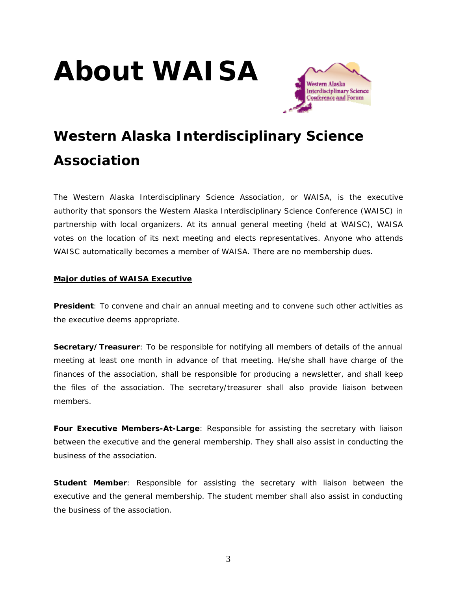# **About WAISA**



# **Western Alaska Interdisciplinary Science Association**

The Western Alaska Interdisciplinary Science Association, or WAISA, is the executive authority that sponsors the Western Alaska Interdisciplinary Science Conference (WAISC) in partnership with local organizers. At its annual general meeting (held at WAISC), WAISA votes on the location of its next meeting and elects representatives. Anyone who attends WAISC automatically becomes a member of WAISA. There are no membership dues.

# **Major duties of WAISA Executive**

**President**: To convene and chair an annual meeting and to convene such other activities as the executive deems appropriate.

**Secretary/Treasurer**: To be responsible for notifying all members of details of the annual meeting at least one month in advance of that meeting. He/she shall have charge of the finances of the association, shall be responsible for producing a newsletter, and shall keep the files of the association. The secretary/treasurer shall also provide liaison between members.

**Four Executive Members-At-Large**: Responsible for assisting the secretary with liaison between the executive and the general membership. They shall also assist in conducting the business of the association.

**Student Member**: Responsible for assisting the secretary with liaison between the executive and the general membership. The student member shall also assist in conducting the business of the association.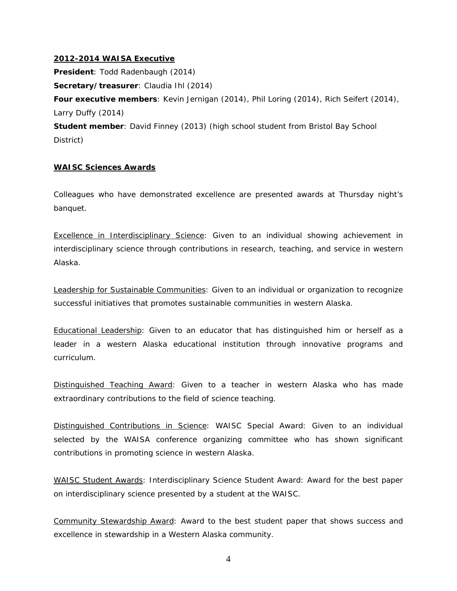#### **2012-2014 WAISA Executive**

**President**: Todd Radenbaugh (2014)

**Secretary/treasurer**: Claudia Ihl (2014)

**Four executive members**: Kevin Jernigan (2014), Phil Loring (2014), Rich Seifert (2014), Larry Duffy (2014)

**Student member**: David Finney (2013) (high school student from Bristol Bay School District)

#### **WAISC Sciences Awards**

Colleagues who have demonstrated excellence are presented awards at Thursday night's banquet.

Excellence in Interdisciplinary Science: Given to an individual showing achievement in interdisciplinary science through contributions in research, teaching, and service in western Alaska.

Leadership for Sustainable Communities: Given to an individual or organization to recognize successful initiatives that promotes sustainable communities in western Alaska.

Educational Leadership: Given to an educator that has distinguished him or herself as a leader in a western Alaska educational institution through innovative programs and curriculum.

Distinguished Teaching Award: Given to a teacher in western Alaska who has made extraordinary contributions to the field of science teaching.

Distinguished Contributions in Science: WAISC Special Award: Given to an individual selected by the WAISA conference organizing committee who has shown significant contributions in promoting science in western Alaska.

WAISC Student Awards: Interdisciplinary Science Student Award: Award for the best paper on interdisciplinary science presented by a student at the WAISC.

Community Stewardship Award: Award to the best student paper that shows success and excellence in stewardship in a Western Alaska community.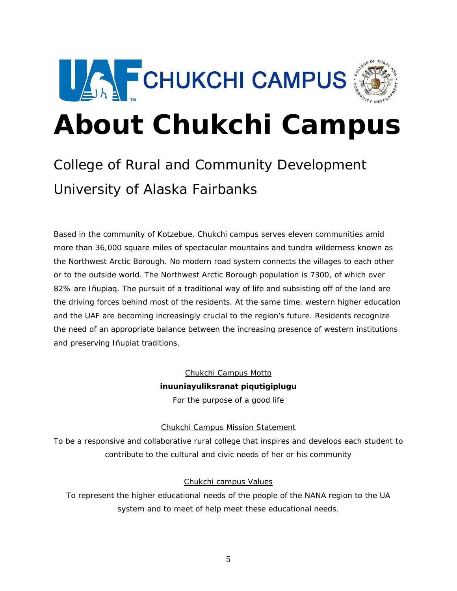

# **About Chukchi Campus**

# College of Rural and Community Development University of Alaska Fairbanks

Based in the community of Kotzebue, Chukchi campus serves eleven communities amid more than 36,000 square miles of spectacular mountains and tundra wilderness known as the Northwest Arctic Borough. No modern road system connects the villages to each other or to the outside world. The Northwest Arctic Borough population is 7300, of which over 82% are Iñupiaq. The pursuit of a traditional way of life and subsisting off of the land are the driving forces behind most of the residents. At the same time, western higher education and the UAF are becoming increasingly crucial to the region's future. Residents recognize the need of an appropriate balance between the increasing presence of western institutions and preserving Iñupiat traditions.

> Chukchi Campus Motto *inuuniayuliksranat piqutigiplugu*  For the purpose of a good life

# Chukchi Campus Mission Statement

To be a responsive and collaborative rural college that inspires and develops each student to contribute to the cultural and civic needs of her or his community

# Chukchi campus Values

To represent the higher educational needs of the people of the NANA region to the UA system and to meet of help meet these educational needs.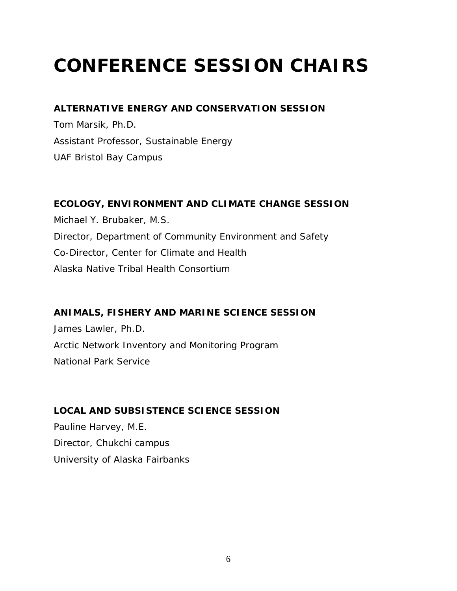# **CONFERENCE SESSION CHAIRS**

# **ALTERNATIVE ENERGY AND CONSERVATION SESSION**

Tom Marsik, Ph.D. *Assistant Professor, Sustainable Energy UAF Bristol Bay Campus* 

# **ECOLOGY, ENVIRONMENT AND CLIMATE CHANGE SESSION**

Michael Y. Brubaker, M.S. *Director, Department of Community Environment and Safety Co-Director, Center for Climate and Health Alaska Native Tribal Health Consortium* 

**ANIMALS, FISHERY AND MARINE SCIENCE SESSION** 

James Lawler, Ph.D. *Arctic Network Inventory and Monitoring Program National Park Service* 

# **LOCAL AND SUBSISTENCE SCIENCE SESSION**

Pauline Harvey, M.E. *Director, Chukchi campus University of Alaska Fairbanks*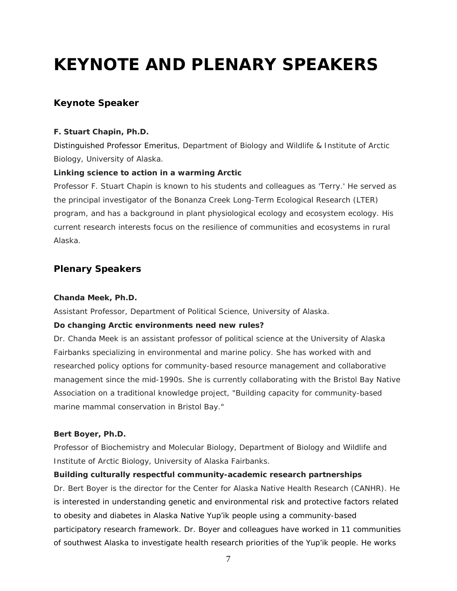# **KEYNOTE AND PLENARY SPEAKERS**

# **Keynote Speaker**

#### **F. Stuart Chapin, Ph.D.**

*Distinguished Professor Emeritus, Department of Biology and Wildlife & Institute of Arctic Biology, University of Alaska.* 

#### **Linking science to action in a warming Arctic**

Professor F. Stuart Chapin is known to his students and colleagues as 'Terry.' He served as the principal investigator of the Bonanza Creek Long-Term Ecological Research (LTER) program, and has a background in plant physiological ecology and ecosystem ecology. His current research interests focus on the resilience of communities and ecosystems in rural Alaska.

# **Plenary Speakers**

#### **Chanda Meek, Ph.D.**

*Assistant Professor, Department of Political Science, University of Alaska.* 

#### **Do changing Arctic environments need new rules?**

Dr. Chanda Meek is an assistant professor of political science at the University of Alaska Fairbanks specializing in environmental and marine policy. She has worked with and researched policy options for community-based resource management and collaborative management since the mid-1990s. She is currently collaborating with the Bristol Bay Native Association on a traditional knowledge project, "Building capacity for community-based marine mammal conservation in Bristol Bay."

#### **Bert Boyer, Ph.D.**

*Professor of Biochemistry and Molecular Biology, Department of Biology and Wildlife and Institute of Arctic Biology, University of Alaska Fairbanks.* 

#### **Building culturally respectful community-academic research partnerships**

Dr. Bert Boyer is the director for the Center for Alaska Native Health Research (CANHR). He is interested in understanding genetic and environmental risk and protective factors related to obesity and diabetes in Alaska Native Yup'ik people using a community-based participatory research framework. Dr. Boyer and colleagues have worked in 11 communities of southwest Alaska to investigate health research priorities of the Yup'ik people. He works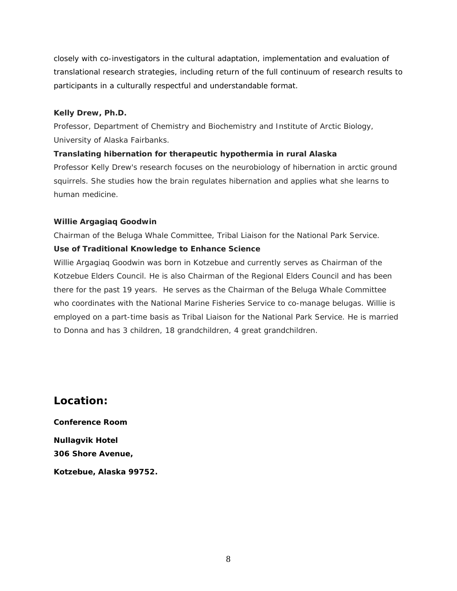closely with co-investigators in the cultural adaptation, implementation and evaluation of translational research strategies, including return of the full continuum of research results to participants in a culturally respectful and understandable format.

### **Kelly Drew, Ph.D.**

*Professor, Department of Chemistry and Biochemistry and Institute of Arctic Biology, University of Alaska Fairbanks.* 

# **Translating hibernation for therapeutic hypothermia in rural Alaska**

Professor Kelly Drew's research focuses on the neurobiology of hibernation in arctic ground squirrels. She studies how the brain regulates hibernation and applies what she learns to human medicine.

### **Willie Argagiaq Goodwin**

*Chairman of the Beluga Whale Committee, Tribal Liaison for the National Park Service.* 

# **Use of Traditional Knowledge to Enhance Science**

Willie Argagiaq Goodwin was born in Kotzebue and currently serves as Chairman of the Kotzebue Elders Council. He is also Chairman of the Regional Elders Council and has been there for the past 19 years. He serves as the Chairman of the Beluga Whale Committee who coordinates with the National Marine Fisheries Service to co-manage belugas. Willie is employed on a part-time basis as Tribal Liaison for the National Park Service. He is married to Donna and has 3 children, 18 grandchildren, 4 great grandchildren.

# **Location:**

**Conference Room Nullagvik Hotel 306 Shore Avenue, Kotzebue, Alaska 99752.**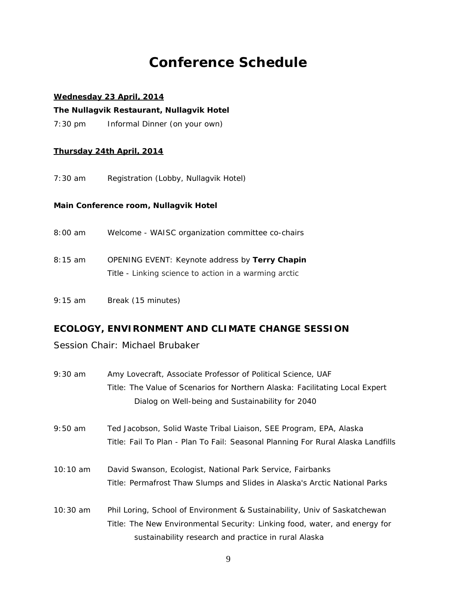# **Conference Schedule**

#### **Wednesday 23 April, 2014**

**The Nullagvik Restaurant, Nullagvik Hotel** 

7:30 pm Informal Dinner (on your own)

#### **Thursday 24th April, 2014**

7:30 am Registration (Lobby, Nullagvik Hotel)

#### **Main Conference room, Nullagvik Hotel**

- 8:00 am Welcome WAISC organization committee co-chairs
- 8:15 am OPENING EVENT: Keynote address by **Terry Chapin** Title - Linking science to action in a warming arctic
- 9:15 am Break (15 minutes)

# **ECOLOGY, ENVIRONMENT AND CLIMATE CHANGE SESSION**

Session Chair: Michael Brubaker

- 9:30 am Amy Lovecraft, Associate Professor of Political Science, UAF Title: The Value of Scenarios for Northern Alaska: Facilitating Local Expert Dialog on Well-being and Sustainability for 2040
- 9:50 am Ted Jacobson, Solid Waste Tribal Liaison, SEE Program, EPA, Alaska Title: Fail To Plan - Plan To Fail: Seasonal Planning For Rural Alaska Landfills
- 10:10 am David Swanson, Ecologist, National Park Service, Fairbanks Title: Permafrost Thaw Slumps and Slides in Alaska's Arctic National Parks
- 10:30 am Phil Loring, School of Environment & Sustainability, Univ of Saskatchewan Title: The New Environmental Security: Linking food, water, and energy for sustainability research and practice in rural Alaska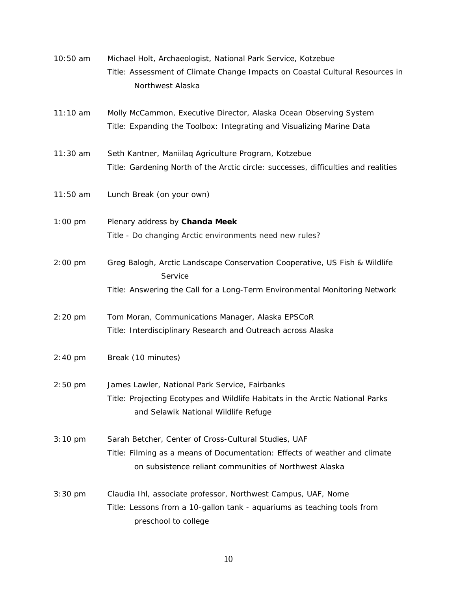| 10:50 am          | Michael Holt, Archaeologist, National Park Service, Kotzebue                                                                         |
|-------------------|--------------------------------------------------------------------------------------------------------------------------------------|
|                   | Title: Assessment of Climate Change Impacts on Coastal Cultural Resources in<br>Northwest Alaska                                     |
|                   |                                                                                                                                      |
| 11:10 am          | Molly McCammon, Executive Director, Alaska Ocean Observing System                                                                    |
|                   | Title: Expanding the Toolbox: Integrating and Visualizing Marine Data                                                                |
| $11:30$ am        | Seth Kantner, Maniilaq Agriculture Program, Kotzebue                                                                                 |
|                   | Title: Gardening North of the Arctic circle: successes, difficulties and realities                                                   |
| $11:50$ am        | Lunch Break (on your own)                                                                                                            |
| $1:00$ pm         | Plenary address by Chanda Meek                                                                                                       |
|                   | Title - Do changing Arctic environments need new rules?                                                                              |
| $2:00$ pm         | Greg Balogh, Arctic Landscape Conservation Cooperative, US Fish & Wildlife<br>Service                                                |
|                   | Title: Answering the Call for a Long-Term Environmental Monitoring Network                                                           |
| $2:20$ pm         | Tom Moran, Communications Manager, Alaska EPSCoR                                                                                     |
|                   | Title: Interdisciplinary Research and Outreach across Alaska                                                                         |
| $2:40$ pm         | Break (10 minutes)                                                                                                                   |
| $2:50$ pm         | James Lawler, National Park Service, Fairbanks                                                                                       |
|                   | Title: Projecting Ecotypes and Wildlife Habitats in the Arctic National Parks<br>and Selawik National Wildlife Refuge                |
| $3:10 \text{ pm}$ | Sarah Betcher, Center of Cross-Cultural Studies, UAF                                                                                 |
|                   | Title: Filming as a means of Documentation: Effects of weather and climate<br>on subsistence reliant communities of Northwest Alaska |
| $3:30$ pm         | Claudia Ihl, associate professor, Northwest Campus, UAF, Nome                                                                        |
|                   | Title: Lessons from a 10-gallon tank - aquariums as teaching tools from<br>preschool to college                                      |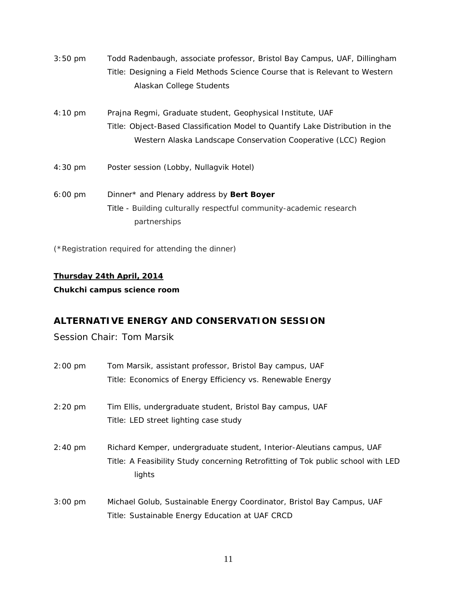| $3:50 \text{ pm}$ | Todd Radenbaugh, associate professor, Bristol Bay Campus, UAF, Dillingham     |
|-------------------|-------------------------------------------------------------------------------|
|                   | Title: Designing a Field Methods Science Course that is Relevant to Western   |
|                   | Alaskan College Students                                                      |
| $4:10 \text{ pm}$ | Prajna Regmi, Graduate student, Geophysical Institute, UAF                    |
|                   | Title: Object-Based Classification Model to Quantify Lake Distribution in the |
|                   | Western Alaska Landscape Conservation Cooperative (LCC) Region                |
| $4:30 \text{ pm}$ | Poster session (Lobby, Nullagvik Hotel)                                       |
| $6:00 \text{ pm}$ | Dinner* and Plenary address by Bert Boyer                                     |
|                   | Title - Building culturally respectful community-academic research            |
|                   | partnerships                                                                  |
|                   |                                                                               |

(\*Registration required for attending the dinner)

# **Thursday 24th April, 2014**

**Chukchi campus science room**

# **ALTERNATIVE ENERGY AND CONSERVATION SESSION**

Session Chair: Tom Marsik

| $2:00$ pm | Tom Marsik, assistant professor, Bristol Bay campus, UAF                         |  |  |
|-----------|----------------------------------------------------------------------------------|--|--|
|           | Title: Economics of Energy Efficiency vs. Renewable Energy                       |  |  |
|           |                                                                                  |  |  |
| 2:20 pm   | Tim Ellis, undergraduate student, Bristol Bay campus, UAF                        |  |  |
|           | Title: LED street lighting case study                                            |  |  |
|           |                                                                                  |  |  |
| $2:40$ pm | Richard Kemper, undergraduate student, Interior-Aleutians campus, UAF            |  |  |
|           | Title: A Feasibility Study concerning Retrofitting of Tok public school with LED |  |  |
|           | lights                                                                           |  |  |
|           |                                                                                  |  |  |
| $3:00$ pm | Michael Golub, Sustainable Energy Coordinator, Bristol Bay Campus, UAF           |  |  |
|           | Title: Sustainable Energy Education at UAF CRCD                                  |  |  |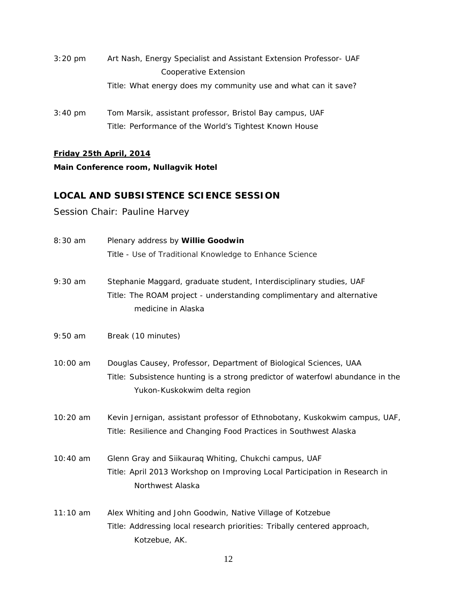- 3:20 pm Art Nash, Energy Specialist and Assistant Extension Professor- UAF Cooperative Extension Title: What energy does my community use and what can it save?
- 3:40 pm Tom Marsik, assistant professor, Bristol Bay campus, UAF Title: Performance of the World's Tightest Known House

### **Friday 25th April, 2014**

### **Main Conference room, Nullagvik Hotel**

# **LOCAL AND SUBSISTENCE SCIENCE SESSION**

# Session Chair: Pauline Harvey

| 8:30 am    | Plenary address by Willie Goodwin                                                                                                                                                   |  |
|------------|-------------------------------------------------------------------------------------------------------------------------------------------------------------------------------------|--|
|            | Title - Use of Traditional Knowledge to Enhance Science                                                                                                                             |  |
| $9:30$ am  | Stephanie Maggard, graduate student, Interdisciplinary studies, UAF<br>Title: The ROAM project - understanding complimentary and alternative<br>medicine in Alaska                  |  |
| $9:50$ am  | Break (10 minutes)                                                                                                                                                                  |  |
| 10:00 am   | Douglas Causey, Professor, Department of Biological Sciences, UAA<br>Title: Subsistence hunting is a strong predictor of waterfowl abundance in the<br>Yukon-Kuskokwim delta region |  |
| 10:20 am   | Kevin Jernigan, assistant professor of Ethnobotany, Kuskokwim campus, UAF,<br>Title: Resilience and Changing Food Practices in Southwest Alaska                                     |  |
| 10:40 am   | Glenn Gray and Siikauraq Whiting, Chukchi campus, UAF<br>Title: April 2013 Workshop on Improving Local Participation in Research in<br>Northwest Alaska                             |  |
| $11:10$ am | Alex Whiting and John Goodwin, Native Village of Kotzebue<br>Title: Addressing local research priorities: Tribally centered approach,<br>Kotzebue, AK.                              |  |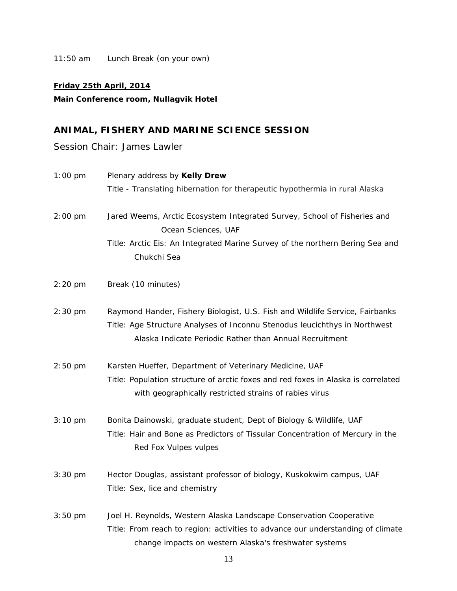11:50 am Lunch Break (on your own)

#### **Friday 25th April, 2014**

# **Main Conference room, Nullagvik Hotel**

# **ANIMAL, FISHERY AND MARINE SCIENCE SESSION**

Session Chair: James Lawler

| $1:00$ pm         | Plenary address by Kelly Drew<br>Title - Translating hibernation for therapeutic hypothermia in rural Alaska                                                                                                          |
|-------------------|-----------------------------------------------------------------------------------------------------------------------------------------------------------------------------------------------------------------------|
| $2:00 \text{ pm}$ | Jared Weems, Arctic Ecosystem Integrated Survey, School of Fisheries and<br>Ocean Sciences, UAF<br>Title: Arctic Eis: An Integrated Marine Survey of the northern Bering Sea and<br>Chukchi Sea                       |
| $2:20$ pm         | Break (10 minutes)                                                                                                                                                                                                    |
| $2:30$ pm         | Raymond Hander, Fishery Biologist, U.S. Fish and Wildlife Service, Fairbanks<br>Title: Age Structure Analyses of Inconnu Stenodus leucichthys in Northwest<br>Alaska Indicate Periodic Rather than Annual Recruitment |
| $2:50$ pm         | Karsten Hueffer, Department of Veterinary Medicine, UAF<br>Title: Population structure of arctic foxes and red foxes in Alaska is correlated<br>with geographically restricted strains of rabies virus                |
| $3:10 \text{ pm}$ | Bonita Dainowski, graduate student, Dept of Biology & Wildlife, UAF<br>Title: Hair and Bone as Predictors of Tissular Concentration of Mercury in the<br>Red Fox Vulpes vulpes                                        |
| 3:30 pm           | Hector Douglas, assistant professor of biology, Kuskokwim campus, UAF<br>Title: Sex, lice and chemistry                                                                                                               |
| $3:50$ pm         | Joel H. Reynolds, Western Alaska Landscape Conservation Cooperative<br>Title: From reach to region: activities to advance our understanding of climate<br>change impacts on western Alaska's freshwater systems       |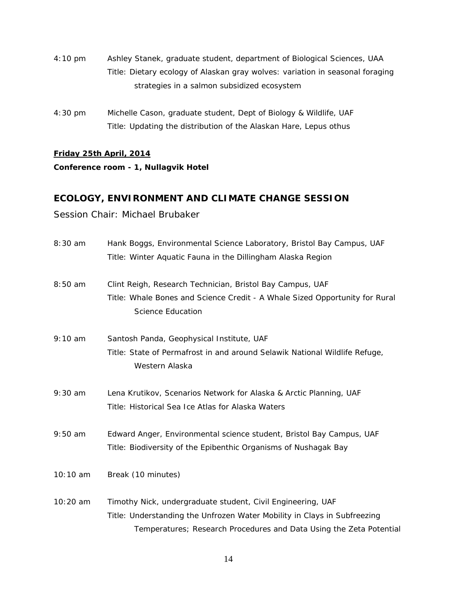- 4:10 pm Ashley Stanek, graduate student, department of Biological Sciences, UAA Title: Dietary ecology of Alaskan gray wolves: variation in seasonal foraging strategies in a salmon subsidized ecosystem
- 4:30 pm Michelle Cason, graduate student, Dept of Biology & Wildlife, UAF Title: Updating the distribution of the Alaskan Hare, Lepus othus

### **Friday 25th April, 2014**

### **Conference room - 1, Nullagvik Hotel**

# **ECOLOGY, ENVIRONMENT AND CLIMATE CHANGE SESSION**

# Session Chair: Michael Brubaker

| 8:30 am   | Hank Boggs, Environmental Science Laboratory, Bristol Bay Campus, UAF                                   |  |
|-----------|---------------------------------------------------------------------------------------------------------|--|
|           | Title: Winter Aquatic Fauna in the Dillingham Alaska Region                                             |  |
| 8:50 am   | Clint Reigh, Research Technician, Bristol Bay Campus, UAF                                               |  |
|           | Title: Whale Bones and Science Credit - A Whale Sized Opportunity for Rural<br><b>Science Education</b> |  |
| 9:10 am   | Santosh Panda, Geophysical Institute, UAF                                                               |  |
|           | Title: State of Permafrost in and around Selawik National Wildlife Refuge,<br>Western Alaska            |  |
| $9:30$ am | Lena Krutikov, Scenarios Network for Alaska & Arctic Planning, UAF                                      |  |
|           | Title: Historical Sea Ice Atlas for Alaska Waters                                                       |  |
| $9:50$ am | Edward Anger, Environmental science student, Bristol Bay Campus, UAF                                    |  |
|           | Title: Biodiversity of the Epibenthic Organisms of Nushagak Bay                                         |  |
| 10:10 am  | Break (10 minutes)                                                                                      |  |
| 10:20 am  | Timothy Nick, undergraduate student, Civil Engineering, UAF                                             |  |
|           | Title: Understanding the Unfrozen Water Mobility in Clays in Subfreezing                                |  |
|           | Temperatures; Research Procedures and Data Using the Zeta Potential                                     |  |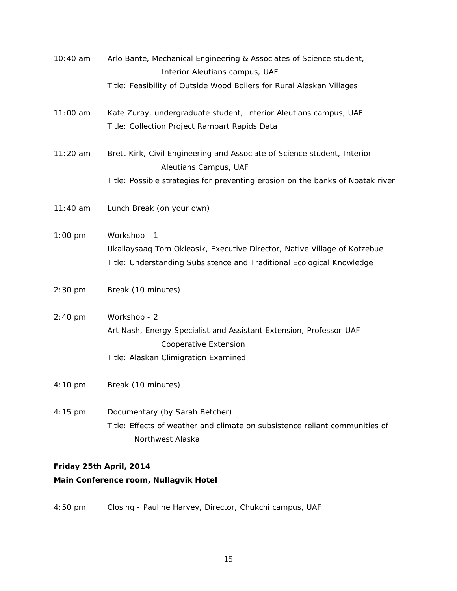| 10:40 am   | Arlo Bante, Mechanical Engineering & Associates of Science student,                               |  |
|------------|---------------------------------------------------------------------------------------------------|--|
|            | Interior Aleutians campus, UAF                                                                    |  |
|            | Title: Feasibility of Outside Wood Boilers for Rural Alaskan Villages                             |  |
| 11:00 am   | Kate Zuray, undergraduate student, Interior Aleutians campus, UAF                                 |  |
|            | Title: Collection Project Rampart Rapids Data                                                     |  |
| $11:20$ am | Brett Kirk, Civil Engineering and Associate of Science student, Interior<br>Aleutians Campus, UAF |  |
|            | Title: Possible strategies for preventing erosion on the banks of Noatak river                    |  |
| 11:40 am   | Lunch Break (on your own)                                                                         |  |
| $1:00$ pm  | Workshop - 1                                                                                      |  |
|            | Ukallaysaaq Tom Okleasik, Executive Director, Native Village of Kotzebue                          |  |
|            | Title: Understanding Subsistence and Traditional Ecological Knowledge                             |  |
| $2:30$ pm  | Break (10 minutes)                                                                                |  |
| $2:40$ pm  | Workshop - 2                                                                                      |  |
|            | Art Nash, Energy Specialist and Assistant Extension, Professor-UAF                                |  |
|            | Cooperative Extension                                                                             |  |
|            | Title: Alaskan Climigration Examined                                                              |  |
| 4:10 pm    | Break (10 minutes)                                                                                |  |
| 4:15 pm    | Documentary (by Sarah Betcher)                                                                    |  |
|            | Title: Effects of weather and climate on subsistence reliant communities of                       |  |
|            | Northwest Alaska                                                                                  |  |
|            |                                                                                                   |  |

# **Friday 25th April, 2014**

# **Main Conference room, Nullagvik Hotel**

4:50 pm Closing - Pauline Harvey, Director, Chukchi campus, UAF